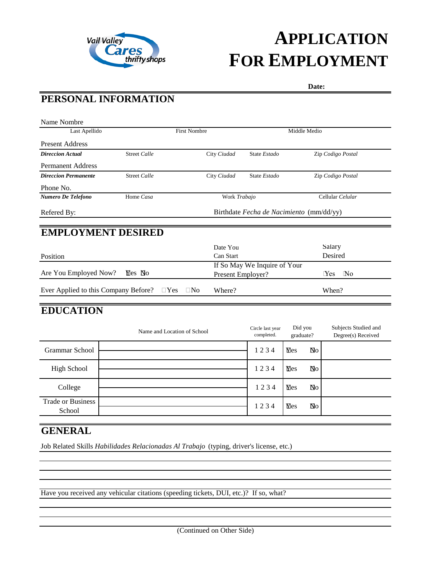

# **APPLICATION FOR EMPLOYMENT**

 **Date:**

# **PERSONAL INFORMATION**

| Last Apellido                        |                                          | <b>First Nombre</b>     |                   |                              | Middle Medio                   |
|--------------------------------------|------------------------------------------|-------------------------|-------------------|------------------------------|--------------------------------|
| <b>Present Address</b>               |                                          |                         |                   |                              |                                |
| <b>Direccion Actual</b>              | <b>Street Calle</b>                      |                         | City Ciudad       | State Estado                 | Zip Codigo Postal              |
| <b>Permanent Address</b>             |                                          |                         |                   |                              |                                |
| <b>Direccion Permanente</b>          | Street Calle                             |                         | City Ciudad       | State Estado                 | Zip Codigo Postal              |
| Phone No.                            |                                          |                         |                   |                              |                                |
| Numero De Telefono                   | Home Casa                                |                         | Work Trabajo      |                              | Cellular Celular               |
| Refered By:                          | Birthdate Fecha de Nacimiento (mm/dd/yy) |                         |                   |                              |                                |
| <b>EMPLOYMENT DESIRED</b>            |                                          |                         |                   |                              |                                |
|                                      |                                          |                         | Date You          |                              | Salary                         |
| Position                             |                                          |                         | Can Start         |                              | Desired                        |
|                                      |                                          |                         |                   | If So May We Inquire of Your |                                |
| Are You Employed Now?                | $\n  Mes Mos$                            |                         | Present Employer? |                              | $\mathbb{N}^{\text{o}}$<br>Yes |
| Ever Applied to this Company Before? |                                          | $\Box$ Yes<br>$\Box$ No | Where?            |                              | When?                          |
|                                      |                                          |                         |                   |                              |                                |

## **EDUCATION**

|                                    | Name and Location of School | Circle last year<br>completed. | Did you<br>graduate? |    | Subjects Studied and<br>Degree(s) Received |
|------------------------------------|-----------------------------|--------------------------------|----------------------|----|--------------------------------------------|
| Grammar School                     |                             | 1234                           | Yes                  | No |                                            |
| <b>High School</b>                 |                             | 1234                           | <b>Y</b> es          | Ŋо |                                            |
| College                            |                             | 1234                           | Yes                  | No |                                            |
| <b>Trade or Business</b><br>School |                             | 1234                           | <b>Y</b> es          | Ŋо |                                            |

### **GENERAL**

Job Related Skills *Habilidades Relacionadas Al Trabajo* (typing, driver's license, etc.)

Have you received any vehicular citations (speeding tickets, DUI, etc.)? If so, what?